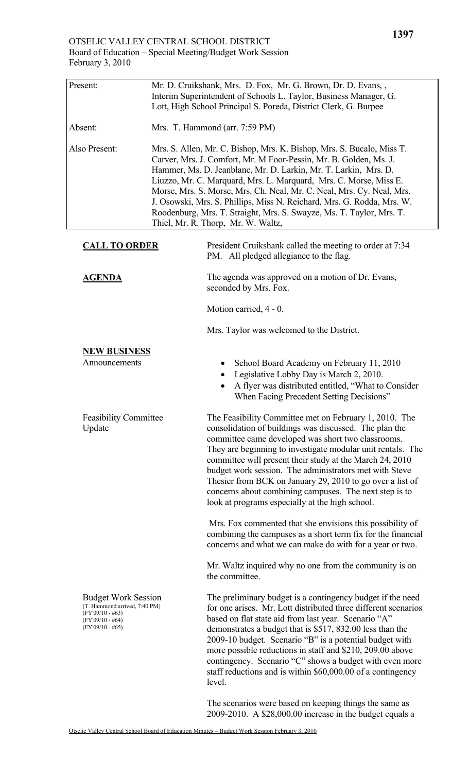| Present:                                                                                                                      |                                                                                                                                                                                                                                                                                                                                                                                                                                                                                                                                                     | Mr. D. Cruikshank, Mrs. D. Fox, Mr. G. Brown, Dr. D. Evans, ,<br>Interim Superintendent of Schools L. Taylor, Business Manager, G.<br>Lott, High School Principal S. Poreda, District Clerk, G. Burpee                                                                                                                                                                                                                                                                                                                                |
|-------------------------------------------------------------------------------------------------------------------------------|-----------------------------------------------------------------------------------------------------------------------------------------------------------------------------------------------------------------------------------------------------------------------------------------------------------------------------------------------------------------------------------------------------------------------------------------------------------------------------------------------------------------------------------------------------|---------------------------------------------------------------------------------------------------------------------------------------------------------------------------------------------------------------------------------------------------------------------------------------------------------------------------------------------------------------------------------------------------------------------------------------------------------------------------------------------------------------------------------------|
| Absent:                                                                                                                       | Mrs. T. Hammond (arr. 7:59 PM)                                                                                                                                                                                                                                                                                                                                                                                                                                                                                                                      |                                                                                                                                                                                                                                                                                                                                                                                                                                                                                                                                       |
| Also Present:                                                                                                                 | Mrs. S. Allen, Mr. C. Bishop, Mrs. K. Bishop, Mrs. S. Bucalo, Miss T.<br>Carver, Mrs. J. Comfort, Mr. M Foor-Pessin, Mr. B. Golden, Ms. J.<br>Hammer, Ms. D. Jeanblanc, Mr. D. Larkin, Mr. T. Larkin, Mrs. D.<br>Liuzzo, Mr. C. Marquard, Mrs. L. Marquard, Mrs. C. Morse, Miss E.<br>Morse, Mrs. S. Morse, Mrs. Ch. Neal, Mr. C. Neal, Mrs. Cy. Neal, Mrs.<br>J. Osowski, Mrs. S. Phillips, Miss N. Reichard, Mrs. G. Rodda, Mrs. W.<br>Roodenburg, Mrs. T. Straight, Mrs. S. Swayze, Ms. T. Taylor, Mrs. T.<br>Thiel, Mr. R. Thorp, Mr. W. Waltz, |                                                                                                                                                                                                                                                                                                                                                                                                                                                                                                                                       |
| <b>CALL TO ORDER</b>                                                                                                          |                                                                                                                                                                                                                                                                                                                                                                                                                                                                                                                                                     | President Cruikshank called the meeting to order at 7:34<br>PM. All pledged allegiance to the flag.                                                                                                                                                                                                                                                                                                                                                                                                                                   |
| <b>AGENDA</b>                                                                                                                 |                                                                                                                                                                                                                                                                                                                                                                                                                                                                                                                                                     | The agenda was approved on a motion of Dr. Evans,<br>seconded by Mrs. Fox.                                                                                                                                                                                                                                                                                                                                                                                                                                                            |
|                                                                                                                               |                                                                                                                                                                                                                                                                                                                                                                                                                                                                                                                                                     | Motion carried, 4 - 0.                                                                                                                                                                                                                                                                                                                                                                                                                                                                                                                |
|                                                                                                                               |                                                                                                                                                                                                                                                                                                                                                                                                                                                                                                                                                     | Mrs. Taylor was welcomed to the District.                                                                                                                                                                                                                                                                                                                                                                                                                                                                                             |
| <b>NEW BUSINESS</b>                                                                                                           |                                                                                                                                                                                                                                                                                                                                                                                                                                                                                                                                                     |                                                                                                                                                                                                                                                                                                                                                                                                                                                                                                                                       |
| Announcements                                                                                                                 |                                                                                                                                                                                                                                                                                                                                                                                                                                                                                                                                                     | School Board Academy on February 11, 2010<br>Legislative Lobby Day is March 2, 2010.<br>A flyer was distributed entitled, "What to Consider<br>When Facing Precedent Setting Decisions"                                                                                                                                                                                                                                                                                                                                               |
| <b>Feasibility Committee</b><br>Update                                                                                        |                                                                                                                                                                                                                                                                                                                                                                                                                                                                                                                                                     | The Feasibility Committee met on February 1, 2010. The<br>consolidation of buildings was discussed. The plan the<br>committee came developed was short two classrooms.<br>They are beginning to investigate modular unit rentals. The<br>committee will present their study at the March 24, 2010<br>budget work session. The administrators met with Steve<br>Thesier from BCK on January 29, 2010 to go over a list of<br>concerns about combining campuses. The next step is to<br>look at programs especially at the high school. |
|                                                                                                                               |                                                                                                                                                                                                                                                                                                                                                                                                                                                                                                                                                     | Mrs. Fox commented that she envisions this possibility of<br>combining the campuses as a short term fix for the financial<br>concerns and what we can make do with for a year or two.                                                                                                                                                                                                                                                                                                                                                 |
|                                                                                                                               |                                                                                                                                                                                                                                                                                                                                                                                                                                                                                                                                                     | Mr. Waltz inquired why no one from the community is on<br>the committee.                                                                                                                                                                                                                                                                                                                                                                                                                                                              |
| <b>Budget Work Session</b><br>(T. Hammond arrived, 7:40 PM)<br>$(FY'09/10 - #63)$<br>$(FY'09/10 - #64)$<br>$(FY'09/10 - #65)$ |                                                                                                                                                                                                                                                                                                                                                                                                                                                                                                                                                     | The preliminary budget is a contingency budget if the need<br>for one arises. Mr. Lott distributed three different scenarios<br>based on flat state aid from last year. Scenario "A"<br>demonstrates a budget that is \$517, 832.00 less than the<br>2009-10 budget. Scenario "B" is a potential budget with<br>more possible reductions in staff and \$210, 209.00 above<br>contingency. Scenario "C" shows a budget with even more<br>staff reductions and is within \$60,000.00 of a contingency<br>level.                         |

The scenarios were based on keeping things the same as 2009-2010. A \$28,000.00 increase in the budget equals a